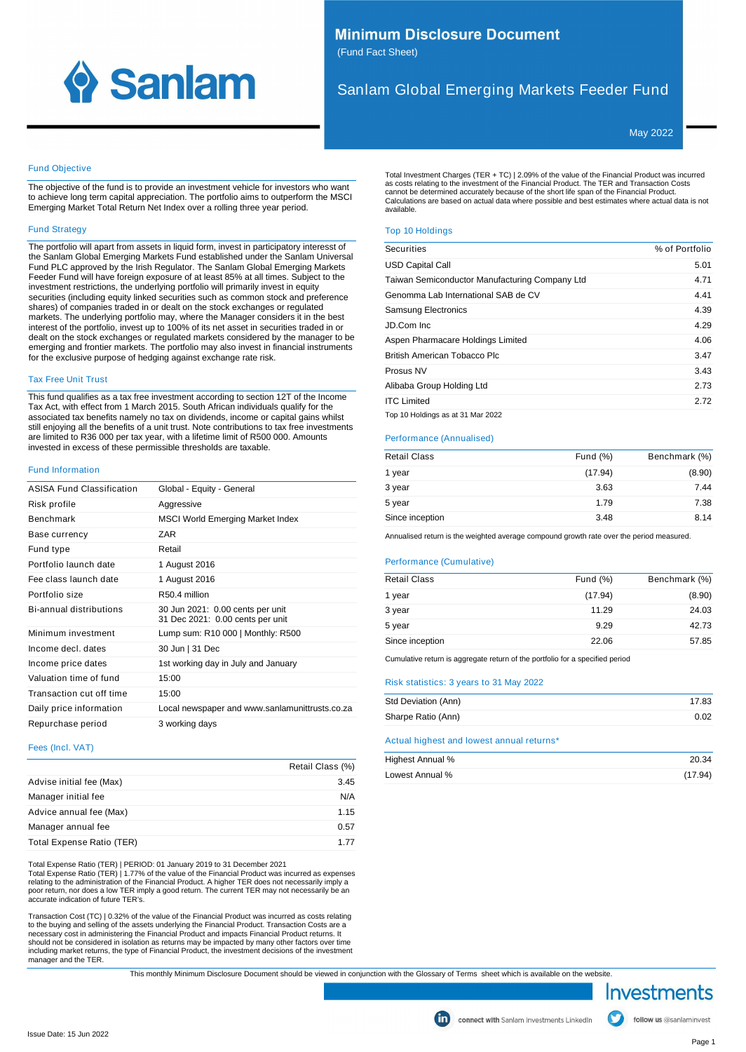

# **Minimum Disclosure Document** (Fund Fact Sheet)

# Sanlam Global Emerging Markets Feeder Fund

May 2022

# Fund Objective

The objective of the fund is to provide an investment vehicle for investors who want to achieve long term capital appreciation. The portfolio aims to outperform the MSCI Emerging Market Total Return Net Index over a rolling three year period.

## Fund Strategy

The portfolio will apart from assets in liquid form, invest in participatory interesst of the Sanlam Global Emerging Markets Fund established under the Sanlam Universal Fund PLC approved by the Irish Regulator. The Sanlam Global Emerging Markets Feeder Fund will have foreign exposure of at least 85% at all times. Subject to the investment restrictions, the underlying portfolio will primarily invest in equity securities (including equity linked securities such as common stock and preference shares) of companies traded in or dealt on the stock exchanges or regulated markets. The underlying portfolio may, where the Manager considers it in the best interest of the portfolio, invest up to 100% of its net asset in securities traded in or dealt on the stock exchanges or regulated markets considered by the manager to be emerging and frontier markets. The portfolio may also invest in financial instruments for the exclusive purpose of hedging against exchange rate risk.

## Tax Free Unit Trust

This fund qualifies as a tax free investment according to section 12T of the Income Tax Act, with effect from 1 March 2015. South African individuals qualify for the associated tax benefits namely no tax on dividends, income or capital gains whilst still enjoying all the benefits of a unit trust. Note contributions to tax free investments are limited to R36 000 per tax year, with a lifetime limit of R500 000. Amounts invested in excess of these permissible thresholds are taxable.

#### Fund Information

| <b>ASISA Fund Classification</b> | Global - Equity - General                                            |
|----------------------------------|----------------------------------------------------------------------|
| Risk profile                     | Aggressive                                                           |
| <b>Benchmark</b>                 | <b>MSCI World Emerging Market Index</b>                              |
| Base currency                    | 7AR                                                                  |
| Fund type                        | Retail                                                               |
| Portfolio launch date            | 1 August 2016                                                        |
| Fee class launch date            | 1 August 2016                                                        |
| Portfolio size                   | R <sub>50</sub> 4 million                                            |
| Bi-annual distributions          | 30 Jun 2021: 0.00 cents per unit<br>31 Dec 2021: 0.00 cents per unit |
| Minimum investment               | Lump sum: R10 000   Monthly: R500                                    |
| Income decl. dates               | 30 Jun   31 Dec                                                      |
| Income price dates               | 1st working day in July and January                                  |
| Valuation time of fund           | 15:00                                                                |
| Transaction cut off time         | 15:00                                                                |
| Daily price information          | Local newspaper and www.sanlamunittrusts.co.za                       |
| Repurchase period                | 3 working days                                                       |
|                                  |                                                                      |

#### Fees (Incl. VAT)

|                           | Retail Class (%) |
|---------------------------|------------------|
| Advise initial fee (Max)  | 3.45             |
| Manager initial fee       | N/A              |
| Advice annual fee (Max)   | 1.15             |
| Manager annual fee        | 0.57             |
| Total Expense Ratio (TER) | 1 77             |

Total Expense Ratio (TER) | PERIOD: 01 January 2019 to 31 December 2021 Total Expense Ratio (TER) | 1.77% of the value of the Financial Product was incurred as expenses relating to the administration of the Financial Product. A higher TER does not necessarily imply a poor return, nor does a low TER imply a good return. The current TER may not necessarily be an accurate indication of future TER's.

Transaction Cost (TC) | 0.32% of the value of the Financial Product was incurred as costs relating to the buying and selling of the assets underlying the Financial Product. Transaction Costs are a<br>necessary cost in administering the Financial Product and impacts Financial Product returns. It<br>should not be considered in manager and the TER.

Total Investment Charges (TER + TC) | 2.09% of the value of the Financial Product was incurred as costs relating to the investment of the Financial Product. The TER and Transaction Costs cannot be determined accurately because of the short life span of the Financial Product. Calculations are based on actual data where possible and best estimates where actual data is not available.

# Top 10 Holdings

| Securities                                     | % of Portfolio |
|------------------------------------------------|----------------|
| <b>USD Capital Call</b>                        | 5.01           |
| Taiwan Semiconductor Manufacturing Company Ltd | 4.71           |
| Genomma Lab International SAB de CV            | 4.41           |
| <b>Samsung Electronics</b>                     | 4.39           |
| JD.Com Inc.                                    | 4.29           |
| Aspen Pharmacare Holdings Limited              | 4.06           |
| British American Tobacco Plc                   | 3.47           |
| Prosus NV                                      | 3.43           |
| Alibaba Group Holding Ltd                      | 2.73           |
| <b>ITC Limited</b>                             | 2.72           |
| Top 10 Holdings as at 31 Mar 2022              |                |

# Performance (Annualised)

| <b>Retail Class</b> | Fund $(\%)$ | Benchmark (%) |
|---------------------|-------------|---------------|
| 1 year              | (17.94)     | (8.90)        |
| 3 year              | 3.63        | 7.44          |
| 5 year              | 1.79        | 7.38          |
| Since inception     | 3.48        | 8.14          |

Annualised return is the weighted average compound growth rate over the period measured.

#### Performance (Cumulative)

| <b>Retail Class</b> | Fund $(\%)$ | Benchmark (%) |
|---------------------|-------------|---------------|
| 1 year              | (17.94)     | (8.90)        |
| 3 year              | 11.29       | 24.03         |
| 5 year              | 9.29        | 42.73         |
| Since inception     | 22.06       | 57.85         |
|                     |             |               |

Cumulative return is aggregate return of the portfolio for a specified period

## Risk statistics: 3 years to 31 May 2022

| Std Deviation (Ann) | 17.83 |
|---------------------|-------|
| Sharpe Ratio (Ann)  | 0.02  |
|                     |       |

### Actual highest and lowest annual returns<sup>\*</sup>

| Highest Annual % | 20.34   |
|------------------|---------|
| Lowest Annual %  | (17.94) |

This monthly Minimum Disclosure Document should be viewed in conjunction with the Glossary of Terms sheet which is available on the website.

Investments

follow us @sanlaminvest